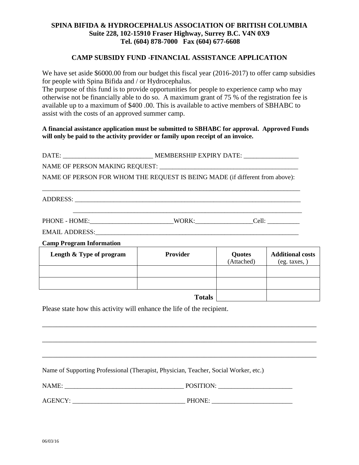# **SPINA BIFIDA & HYDROCEPHALUS ASSOCIATION OF BRITISH COLUMBIA Suite 228, 102-15910 Fraser Highway, Surrey B.C. V4N 0X9 Tel. (604) 878-7000 Fax (604) 677-6608**

#### **CAMP SUBSIDY FUND -FINANCIAL ASSISTANCE APPLICATION**

We have set aside \$6000.00 from our budget this fiscal year (2016-2017) to offer camp subsidies for people with Spina Bifida and / or Hydrocephalus.

The purpose of this fund is to provide opportunities for people to experience camp who may otherwise not be financially able to do so. A maximum grant of 75 % of the registration fee is available up to a maximum of \$400 .00. This is available to active members of SBHABC to assist with the costs of an approved summer camp.

### **A financial assistance application must be submitted to SBHABC for approval. Approved Funds will only be paid to the activity provider or family upon receipt of an invoice.**

| DATE:                          | MEMBERSHIP EXPIRY DATE:                                                      |
|--------------------------------|------------------------------------------------------------------------------|
| NAME OF PERSON MAKING REQUEST: |                                                                              |
|                                | NAME OF PERSON FOR WHOM THE REQUEST IS BEING MADE (if different from above): |

\_\_\_\_\_\_\_\_\_\_\_\_\_\_\_\_\_\_\_\_\_\_\_\_\_\_\_\_\_\_\_\_\_\_\_\_\_\_\_\_\_\_\_\_\_\_\_\_\_\_\_\_\_\_\_\_\_\_\_\_\_\_\_\_\_\_\_\_\_\_\_\_\_\_\_\_\_\_\_\_

ADDRESS:

| <b>TIODIE</b><br>OMF<br><b>PHONE</b><br>λĸ<br>W/I<br>$\sim$ $\blacksquare$<br>----<br>. |  |
|-----------------------------------------------------------------------------------------|--|
|-----------------------------------------------------------------------------------------|--|

EMAIL ADDRESS:\_\_\_\_\_\_\_\_\_\_\_\_\_\_\_\_\_\_\_\_\_\_\_\_\_\_\_\_\_\_\_\_\_\_\_\_\_\_\_\_\_\_\_\_\_\_\_\_\_\_\_\_\_\_\_\_\_\_\_\_\_\_\_

**Camp Program Information** 

| Length & Type of program | <b>Provider</b> | Quotes<br>(Attached) | <b>Additional costs</b><br>(eg. taxes, |
|--------------------------|-----------------|----------------------|----------------------------------------|
|                          |                 |                      |                                        |
|                          |                 |                      |                                        |
| <b>Totals</b>            |                 |                      |                                        |

\_\_\_\_\_\_\_\_\_\_\_\_\_\_\_\_\_\_\_\_\_\_\_\_\_\_\_\_\_\_\_\_\_\_\_\_\_\_\_\_\_\_\_\_\_\_\_\_\_\_\_\_\_\_\_\_\_\_\_\_\_\_\_\_\_\_\_\_\_\_\_\_\_\_\_\_\_\_

\_\_\_\_\_\_\_\_\_\_\_\_\_\_\_\_\_\_\_\_\_\_\_\_\_\_\_\_\_\_\_\_\_\_\_\_\_\_\_\_\_\_\_\_\_\_\_\_\_\_\_\_\_\_\_\_\_\_\_\_\_\_\_\_\_\_\_\_\_\_\_\_\_\_\_\_\_\_

\_\_\_\_\_\_\_\_\_\_\_\_\_\_\_\_\_\_\_\_\_\_\_\_\_\_\_\_\_\_\_\_\_\_\_\_\_\_\_\_\_\_\_\_\_\_\_\_\_\_\_\_\_\_\_\_\_\_\_\_\_\_\_\_\_\_\_\_\_\_\_\_\_\_\_\_\_\_

\_\_\_\_\_\_\_\_\_\_\_\_\_\_\_\_\_\_\_\_\_\_\_\_\_\_\_\_\_\_\_\_\_\_\_\_\_\_\_\_\_\_\_\_\_\_\_\_\_\_\_\_\_\_\_\_\_\_\_\_\_\_\_\_\_\_\_\_\_\_\_

Please state how this activity will enhance the life of the recipient.

Name of Supporting Professional (Therapist, Physician, Teacher, Social Worker, etc.)

NAME: \_\_\_\_\_\_\_\_\_\_\_\_\_\_\_\_\_\_\_\_\_\_\_\_\_\_\_\_\_\_\_\_\_\_\_\_\_ POSITION: \_\_\_\_\_\_\_\_\_\_\_\_\_\_\_\_\_\_\_\_\_\_\_

AGENCY: \_\_\_\_\_\_\_\_\_\_\_\_\_\_\_\_\_\_\_\_\_\_\_\_\_\_\_\_\_\_\_\_\_\_\_ PHONE: \_\_\_\_\_\_\_\_\_\_\_\_\_\_\_\_\_\_\_\_\_\_\_\_\_